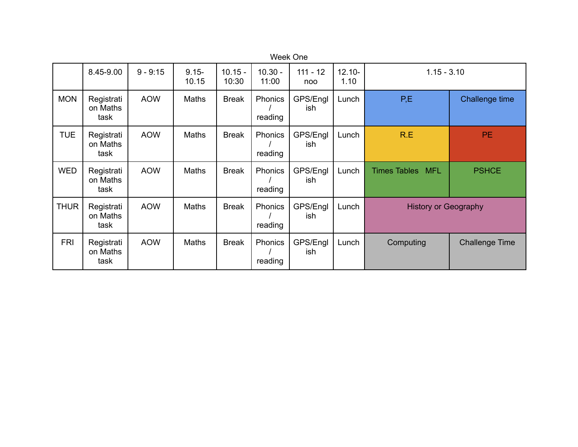| Week One    |                                |            |                   |                    |                    |                   |                   |                                   |                       |
|-------------|--------------------------------|------------|-------------------|--------------------|--------------------|-------------------|-------------------|-----------------------------------|-----------------------|
|             | 8.45-9.00                      | $9 - 9:15$ | $9.15 -$<br>10.15 | $10.15 -$<br>10:30 | $10.30 -$<br>11:00 | $111 - 12$<br>noo | $12.10 -$<br>1.10 | $1.15 - 3.10$                     |                       |
| <b>MON</b>  | Registrati<br>on Maths<br>task | <b>AOW</b> | Maths             | <b>Break</b>       | Phonics<br>reading | GPS/Engl<br>ish   | Lunch             | P,E                               | Challenge time        |
| <b>TUE</b>  | Registrati<br>on Maths<br>task | <b>AOW</b> | Maths             | <b>Break</b>       | Phonics<br>reading | GPS/Engl<br>ish   | Lunch             | R.E                               | PE.                   |
| <b>WED</b>  | Registrati<br>on Maths<br>task | <b>AOW</b> | Maths             | <b>Break</b>       | Phonics<br>reading | GPS/Engl<br>ish   | Lunch             | <b>Times Tables</b><br><b>MFL</b> | <b>PSHCE</b>          |
| <b>THUR</b> | Registrati<br>on Maths<br>task | <b>AOW</b> | Maths             | <b>Break</b>       | Phonics<br>reading | GPS/Engl<br>ish   | Lunch             | <b>History or Geography</b>       |                       |
| <b>FRI</b>  | Registrati<br>on Maths<br>task | <b>AOW</b> | <b>Maths</b>      | <b>Break</b>       | Phonics<br>reading | GPS/Engl<br>ish   | Lunch             | Computing                         | <b>Challenge Time</b> |

Week One